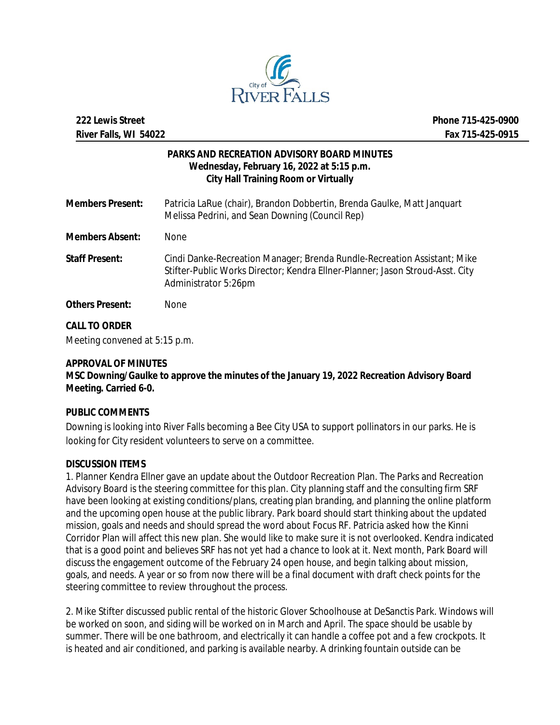

## **PARKS AND RECREATION ADVISORY BOARD MINUTES Wednesday, February 16, 2022 at 5:15 p.m. City Hall Training Room or Virtually**

| <b>Members Present:</b> | Patricia LaRue (chair), Brandon Dobbertin, Brenda Gaulke, Matt Janguart<br>Melissa Pedrini, and Sean Downing (Council Rep)                                                        |
|-------------------------|-----------------------------------------------------------------------------------------------------------------------------------------------------------------------------------|
| <b>Members Absent:</b>  | <b>None</b>                                                                                                                                                                       |
| <b>Staff Present:</b>   | Cindi Danke-Recreation Manager; Brenda Rundle-Recreation Assistant; Mike<br>Stifter-Public Works Director; Kendra Ellner-Planner; Jason Stroud-Asst. City<br>Administrator 5:26pm |
| <b>Others Present:</b>  | <b>None</b>                                                                                                                                                                       |

# **CALL TO ORDER**

Meeting convened at 5:15 p.m.

## **APPROVAL OF MINUTES**

**MSC Downing/Gaulke to approve the minutes of the January 19, 2022 Recreation Advisory Board Meeting. Carried 6-0.**

### **PUBLIC COMMENTS**

Downing is looking into River Falls becoming a Bee City USA to support pollinators in our parks. He is looking for City resident volunteers to serve on a committee.

### **DISCUSSION ITEMS**

1. Planner Kendra Ellner gave an update about the Outdoor Recreation Plan. The Parks and Recreation Advisory Board is the steering committee for this plan. City planning staff and the consulting firm SRF have been looking at existing conditions/plans, creating plan branding, and planning the online platform and the upcoming open house at the public library. Park board should start thinking about the updated mission, goals and needs and should spread the word about Focus RF. Patricia asked how the Kinni Corridor Plan will affect this new plan. She would like to make sure it is not overlooked. Kendra indicated that is a good point and believes SRF has not yet had a chance to look at it. Next month, Park Board will discuss the engagement outcome of the February 24 open house, and begin talking about mission, goals, and needs. A year or so from now there will be a final document with draft check points for the steering committee to review throughout the process.

2. Mike Stifter discussed public rental of the historic Glover Schoolhouse at DeSanctis Park. Windows will be worked on soon, and siding will be worked on in March and April. The space should be usable by summer. There will be one bathroom, and electrically it can handle a coffee pot and a few crockpots. It is heated and air conditioned, and parking is available nearby. A drinking fountain outside can be